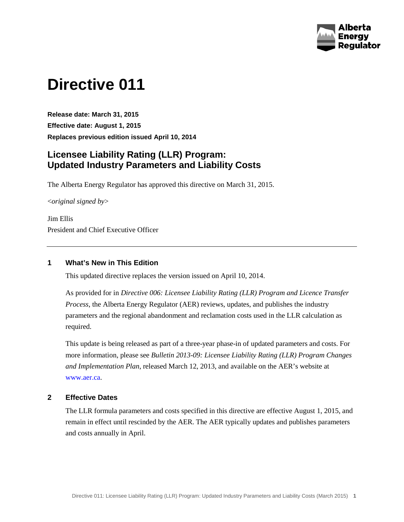

# **Directive 011**

**Release date: March 31, 2015 Effective date: August 1, 2015 Replaces previous edition issued April 10, 2014**

## **Licensee Liability Rating (LLR) Program: Updated Industry Parameters and Liability Costs**

The Alberta Energy Regulator has approved this directive on March 31, 2015.

<*original signed by*>

Jim Ellis President and Chief Executive Officer

## **1 What's New in This Edition**

This updated directive replaces the version issued on April 10, 2014.

As provided for in *Directive 006: Licensee Liability Rating (LLR) Program and Licence Transfer Process*, the Alberta Energy Regulator (AER) reviews, updates, and publishes the industry parameters and the regional abandonment and reclamation costs used in the LLR calculation as required.

This update is being released as part of a three-year phase-in of updated parameters and costs. For more information, please see *Bulletin 2013-09: Licensee Liability Rating (LLR) Program Changes and Implementation Plan*, released March 12, 2013, and available on the AER's website at [www.aer.ca.](http://www.aer.ca/)

## **2 Effective Dates**

The LLR formula parameters and costs specified in this directive are effective August 1, 2015, and remain in effect until rescinded by the AER. The AER typically updates and publishes parameters and costs annually in April.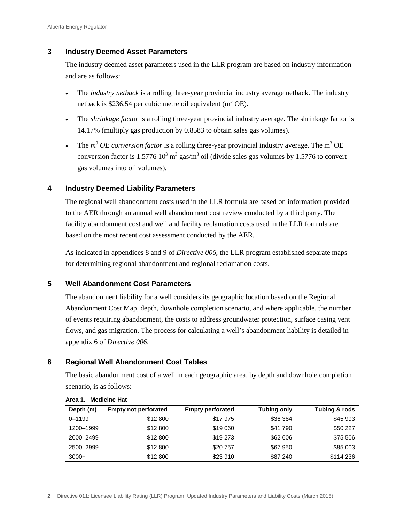## **3 Industry Deemed Asset Parameters**

The industry deemed asset parameters used in the LLR program are based on industry information and are as follows:

- The *industry netback* is a rolling three-year provincial industry average netback. The industry netback is \$236.54 per cubic metre oil equivalent  $(m^3 \text{ OE})$ .
- The *shrinkage factor* is a rolling three-year provincial industry average. The shrinkage factor is 14.17% (multiply gas production by 0.8583 to obtain sales gas volumes).
- The  $m^3$  *OE conversion factor* is a rolling three-year provincial industry average. The  $m^3$  OE conversion factor is  $1.5776 \times 10^3 \text{ m}^3$  gas/m<sup>3</sup> oil (divide sales gas volumes by 1.5776 to convert gas volumes into oil volumes).

## **4 Industry Deemed Liability Parameters**

The regional well abandonment costs used in the LLR formula are based on information provided to the AER through an annual well abandonment cost review conducted by a third party. The facility abandonment cost and well and facility reclamation costs used in the LLR formula are based on the most recent cost assessment conducted by the AER.

As indicated in appendices 8 and 9 of *Directive 006*, the LLR program established separate maps for determining regional abandonment and regional reclamation costs.

## **5 Well Abandonment Cost Parameters**

The abandonment liability for a well considers its geographic location based on the Regional Abandonment Cost Map, depth, downhole completion scenario, and where applicable, the number of events requiring abandonment, the costs to address groundwater protection, surface casing vent flows, and gas migration. The process for calculating a well's abandonment liability is detailed in appendix 6 of *Directive 006*.

## **6 Regional Well Abandonment Cost Tables**

The basic abandonment cost of a well in each geographic area, by depth and downhole completion scenario, is as follows:

| Depth (m)  | <b>Empty not perforated</b> | <b>Empty perforated</b> | Tubing only | Tubing & rods |
|------------|-----------------------------|-------------------------|-------------|---------------|
| $0 - 1199$ | \$12 800                    | \$17975                 | \$36 384    | \$45 993      |
| 1200-1999  | \$12 800                    | \$19 060                | \$41 790    | \$50 227      |
| 2000-2499  | \$12 800                    | \$19 273                | \$62 606    | \$75 506      |
| 2500-2999  | \$12 800                    | \$20757                 | \$67 950    | \$85 003      |
| $3000+$    | \$12 800                    | \$23 910                | \$87 240    | \$114 236     |

#### **Area 1. Medicine Hat**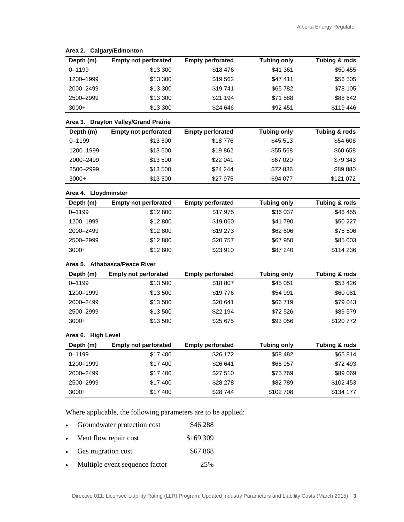| Depth (m)  | <b>Empty not perforated</b> | <b>Empty perforated</b> | Tubing only | Tubing & rods |
|------------|-----------------------------|-------------------------|-------------|---------------|
| $0 - 1199$ | \$13 300                    | \$18476                 | \$41 361    | \$50 455      |
| 1200-1999  | \$13 300                    | \$19562                 | \$47411     | \$56 505      |
| 2000-2499  | \$13 300                    | \$19741                 | \$65 782    | \$78 105      |
| 2500-2999  | \$13 300                    | \$21 194                | \$71 588    | \$88 642      |
| $3000+$    | \$13 300                    | \$24 646                | \$92 451    | \$119446      |

#### **Area 2. Calgary/Edmonton**

#### **Area 3. Drayton Valley/Grand Prairie**

| Depth (m)  | <b>Empty not perforated</b> | <b>Empty perforated</b> | Tubing only | Tubing & rods |
|------------|-----------------------------|-------------------------|-------------|---------------|
| $0 - 1199$ | \$13 500                    | \$18776                 | \$45 513    | \$54 608      |
| 1200-1999  | \$13 500                    | \$19862                 | \$55 568    | \$60 658      |
| 2000-2499  | \$13 500                    | \$22 041                | \$67 020    | \$79 343      |
| 2500-2999  | \$13 500                    | \$24 244                | \$72 836    | \$89880       |
| $3000+$    | \$13 500                    | \$27 975                | \$94 077    | \$121 072     |

#### **Area 4. Lloydminster**

| Depth (m)  | <b>Empty not perforated</b> | <b>Empty perforated</b> | Tubing only | Tubing & rods |
|------------|-----------------------------|-------------------------|-------------|---------------|
| $0 - 1199$ | \$12 800                    | \$17975                 | \$36 037    | \$46 455      |
| 1200-1999  | \$12 800                    | \$19 060                | \$41 790    | \$50 227      |
| 2000-2499  | \$12 800                    | \$19 273                | \$62 606    | \$75 506      |
| 2500-2999  | \$12 800                    | \$20757                 | \$67 950    | \$85 003      |
| $3000+$    | \$12 800                    | \$23 910                | \$87 240    | \$114 236     |

#### **Area 5. Athabasca/Peace River**

| Depth (m)  | <b>Empty not perforated</b> | <b>Empty perforated</b> | Tubing only | Tubing & rods |
|------------|-----------------------------|-------------------------|-------------|---------------|
| $0 - 1199$ | \$13 500                    | \$18 807                | \$45 051    | \$53 426      |
| 1200-1999  | \$13 500                    | \$19776                 | \$54 991    | \$60 081      |
| 2000-2499  | \$13 500                    | \$20 641                | \$66719     | \$79 043      |
| 2500-2999  | \$13 500                    | \$22 194                | \$72 526    | \$89 579      |
| $3000+$    | \$13 500                    | \$25 675                | \$93 056    | \$120772      |

#### **Area 6. High Level**

| Depth (m)  | <b>Empty not perforated</b> | <b>Empty perforated</b> | Tubing only | Tubing & rods |
|------------|-----------------------------|-------------------------|-------------|---------------|
| $0 - 1199$ | \$17400                     | \$26 172                | \$58 482    | \$65 814      |
| 1200-1999  | \$17400                     | \$26 641                | \$65 957    | \$72 493      |
| 2000-2499  | \$17 400                    | \$27 510                | \$75 769    | \$89 069      |
| 2500-2999  | \$17 400                    | \$28 278                | \$82789     | \$102 453     |
| $3000+$    | \$17 400                    | \$28744                 | \$102708    | \$134 177     |

Where applicable, the following parameters are to be applied:

- Groundwater protection cost \$46 288
- Vent flow repair cost \$169 309
- Gas migration cost \$67 868
- Multiple event sequence factor 25%